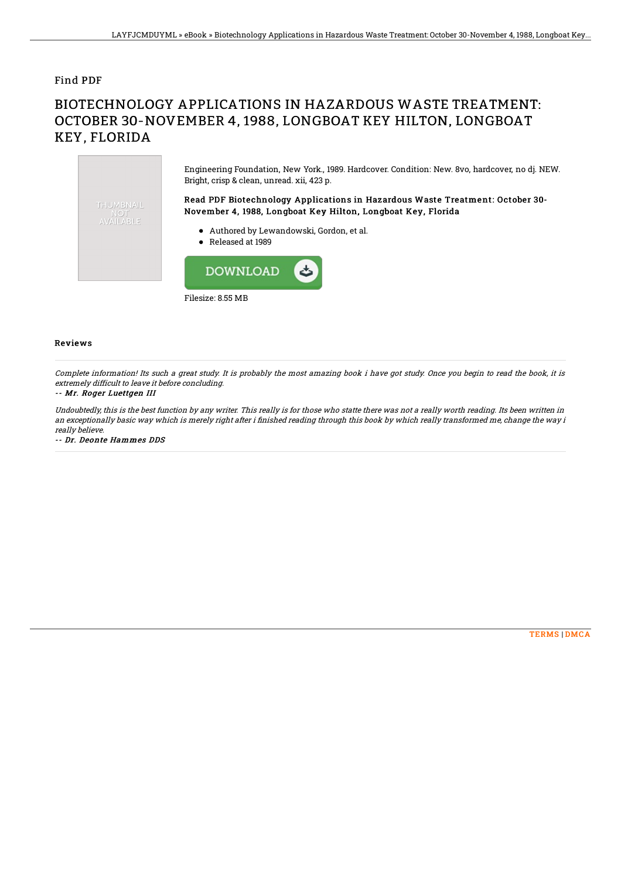### Find PDF

# BIOTECHNOLOGY APPLICATIONS IN HAZARDOUS WASTE TREATMENT: OCTOBER 30-NOVEMBER 4, 1988, LONGBOAT KEY HILTON, LONGBOAT KEY, FLORIDA

Engineering Foundation, New York., 1989. Hardcover. Condition: New. 8vo, hardcover, no dj. NEW. Bright, crisp & clean, unread. xii, 423 p. Read PDF Biotechnology Applications in Hazardous Waste Treatment: October 30- THUMBNAIL November 4, 1988, Longboat Key Hilton, Longboat Key, Florida **AVAILABLE** Authored by Lewandowski, Gordon, et al. Released at 1989 **DOWNLOAD** 

Filesize: 8.55 MB

#### Reviews

Complete information! Its such <sup>a</sup> great study. It is probably the most amazing book i have got study. Once you begin to read the book, it is extremely difficult to leave it before concluding.

#### -- Mr. Roger Luettgen III

Undoubtedly, this is the best function by any writer. This really is for those who statte there was not <sup>a</sup> really worth reading. Its been written in an exceptionally basic way which is merely right after i finished reading through this book by which really transformed me, change the way i really believe.

-- Dr. Deonte Hammes DDS